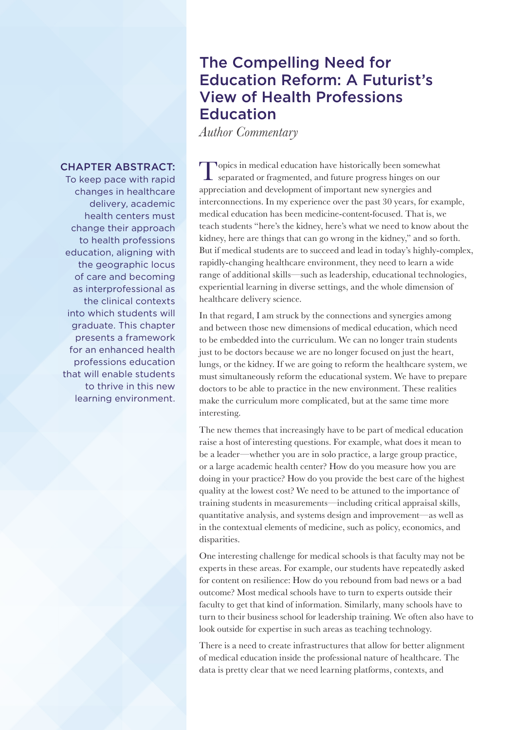## The Compelling Need for Education Reform: A Futurist's View of Health Professions **Education**

*Author Commentary*

Topics in medical education have historically been somewhat separated or fragmented, and future progress hinges on our appreciation and development of important new synergies and interconnections. In my experience over the past 30 years, for example, medical education has been medicine-content-focused. That is, we teach students "here's the kidney, here's what we need to know about the kidney, here are things that can go wrong in the kidney," and so forth. But if medical students are to succeed and lead in today's highly-complex, rapidly-changing healthcare environment, they need to learn a wide range of additional skills—such as leadership, educational technologies, experiential learning in diverse settings, and the whole dimension of healthcare delivery science.

In that regard, I am struck by the connections and synergies among and between those new dimensions of medical education, which need to be embedded into the curriculum. We can no longer train students just to be doctors because we are no longer focused on just the heart, lungs, or the kidney. If we are going to reform the healthcare system, we must simultaneously reform the educational system. We have to prepare doctors to be able to practice in the new environment. These realities make the curriculum more complicated, but at the same time more interesting.

The new themes that increasingly have to be part of medical education raise a host of interesting questions. For example, what does it mean to be a leader—whether you are in solo practice, a large group practice, or a large academic health center? How do you measure how you are doing in your practice? How do you provide the best care of the highest quality at the lowest cost? We need to be attuned to the importance of training students in measurements—including critical appraisal skills, quantitative analysis, and systems design and improvement—as well as in the contextual elements of medicine, such as policy, economics, and disparities.

One interesting challenge for medical schools is that faculty may not be experts in these areas. For example, our students have repeatedly asked for content on resilience: How do you rebound from bad news or a bad outcome? Most medical schools have to turn to experts outside their faculty to get that kind of information. Similarly, many schools have to turn to their business school for leadership training. We often also have to look outside for expertise in such areas as teaching technology.

There is a need to create infrastructures that allow for better alignment of medical education inside the professional nature of healthcare. The data is pretty clear that we need learning platforms, contexts, and

## CHAPTER ABSTRACT:

To keep pace with rapid changes in healthcare delivery, academic health centers must change their approach to health professions education, aligning with the geographic locus of care and becoming as interprofessional as the clinical contexts into which students will graduate. This chapter presents a framework for an enhanced health professions education that will enable students to thrive in this new learning environment.